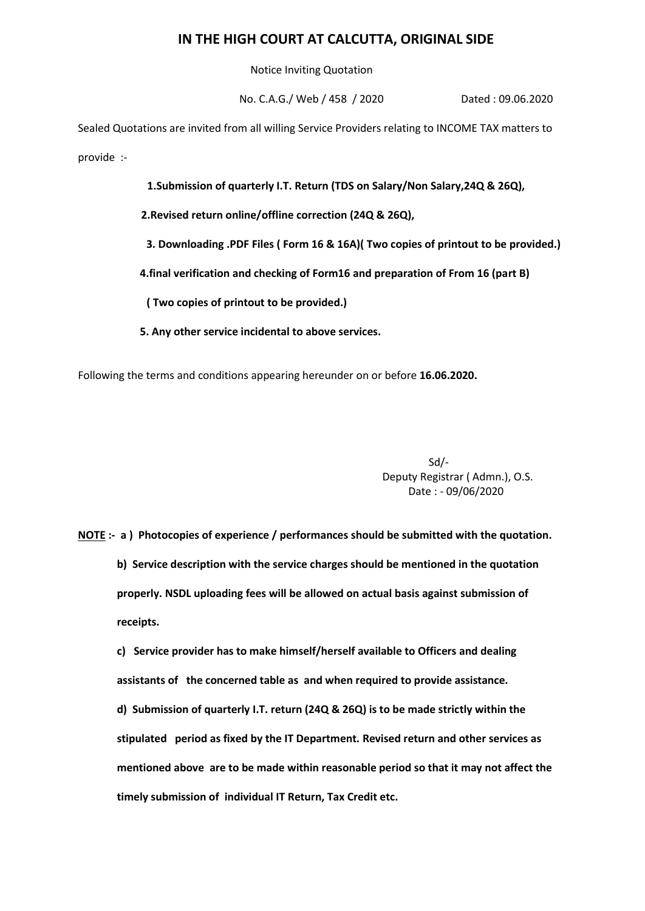## **IN THE HIGH COURT AT CALCUTTA, ORIGINAL SIDE**

Notice Inviting Quotation

No. C.A.G./ Web / 458 / 2020 Dated : 09.06.2020

Sealed Quotations are invited from all willing Service Providers relating to INCOME TAX matters to provide :-

**1.Submission of quarterly I.T. Return (TDS on Salary/Non Salary,24Q & 26Q),**

 **2.Revised return online/offline correction (24Q & 26Q),**

 **3. Downloading .PDF Files ( Form 16 & 16A)( Two copies of printout to be provided.)**

 **4.final verification and checking of Form16 and preparation of From 16 (part B)** 

 **( Two copies of printout to be provided.)**

 **5. Any other service incidental to above services.**

Following the terms and conditions appearing hereunder on or before **16.06.2020.**

Sd/- Deputy Registrar ( Admn.), O.S. Date : - 09/06/2020

**NOTE :- a ) Photocopies of experience / performances should be submitted with the quotation. b) Service description with the service charges should be mentioned in the quotation properly. NSDL uploading fees will be allowed on actual basis against submission of receipts.**

**c) Service provider has to make himself/herself available to Officers and dealing assistants of the concerned table as and when required to provide assistance. d) Submission of quarterly I.T. return (24Q & 26Q) is to be made strictly within the stipulated period as fixed by the IT Department. Revised return and other services as mentioned above are to be made within reasonable period so that it may not affect the timely submission of individual IT Return, Tax Credit etc.**